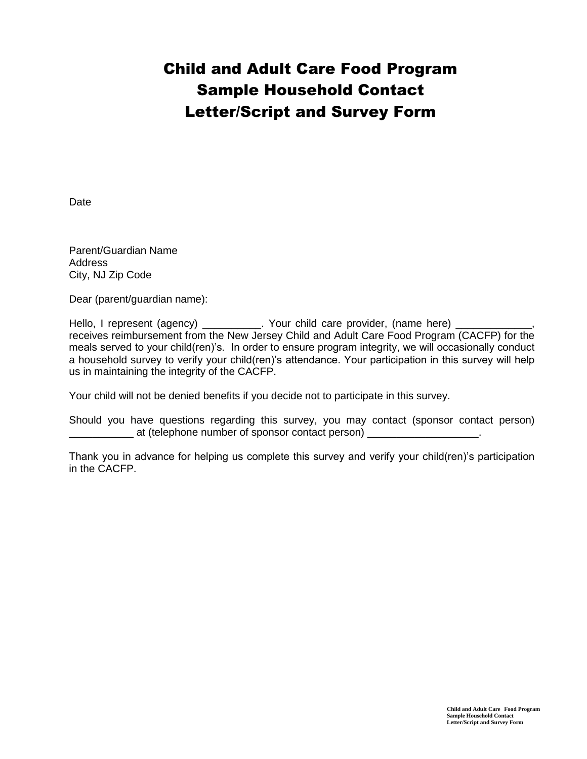## Child and Adult Care Food Program Sample Household Contact Letter/Script and Survey Form

Date

Parent/Guardian Name **Address** City, NJ Zip Code

Dear (parent/guardian name):

Hello, I represent (agency) \_\_\_\_\_\_\_\_\_\_\_. Your child care provider, (name here) \_ receives reimbursement from the New Jersey Child and Adult Care Food Program (CACFP) for the meals served to your child(ren)'s. In order to ensure program integrity, we will occasionally conduct a household survey to verify your child(ren)'s attendance. Your participation in this survey will help us in maintaining the integrity of the CACFP.

Your child will not be denied benefits if you decide not to participate in this survey.

Should you have questions regarding this survey, you may contact (sponsor contact person) \_\_\_\_\_\_\_\_\_\_\_ at (telephone number of sponsor contact person) \_\_\_\_\_\_\_\_\_\_\_\_\_\_\_\_\_\_\_.

Thank you in advance for helping us complete this survey and verify your child(ren)'s participation in the CACFP.